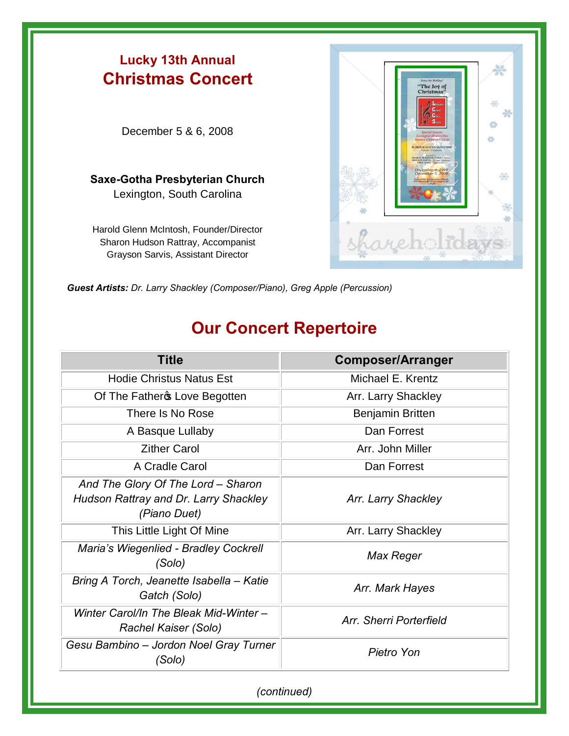

*Guest Artists: Dr. Larry Shackley (Composer/Piano), Greg Apple (Percussion)*

## **Our Concert Repertoire**

| <b>Title</b>                                                                                | <b>Composer/Arranger</b> |
|---------------------------------------------------------------------------------------------|--------------------------|
| <b>Hodie Christus Natus Est</b>                                                             | Michael E. Krentz        |
| Of The Father & Love Begotten                                                               | Arr. Larry Shackley      |
| There Is No Rose                                                                            | Benjamin Britten         |
| A Basque Lullaby                                                                            | Dan Forrest              |
| <b>Zither Carol</b>                                                                         | Arr. John Miller         |
| A Cradle Carol                                                                              | Dan Forrest              |
| And The Glory Of The Lord - Sharon<br>Hudson Rattray and Dr. Larry Shackley<br>(Piano Duet) | Arr. Larry Shackley      |
| This Little Light Of Mine                                                                   | Arr. Larry Shackley      |
| Maria's Wiegenlied - Bradley Cockrell<br>(Solo)                                             | Max Reger                |
| Bring A Torch, Jeanette Isabella - Katie<br>Gatch (Solo)                                    | Arr. Mark Hayes          |
| Winter Carol/In The Bleak Mid-Winter -<br>Rachel Kaiser (Solo)                              | Arr, Sherri Porterfield  |
| Gesu Bambino – Jordon Noel Gray Turner<br>(Solo)                                            | Pietro Yon               |

*(continued)*